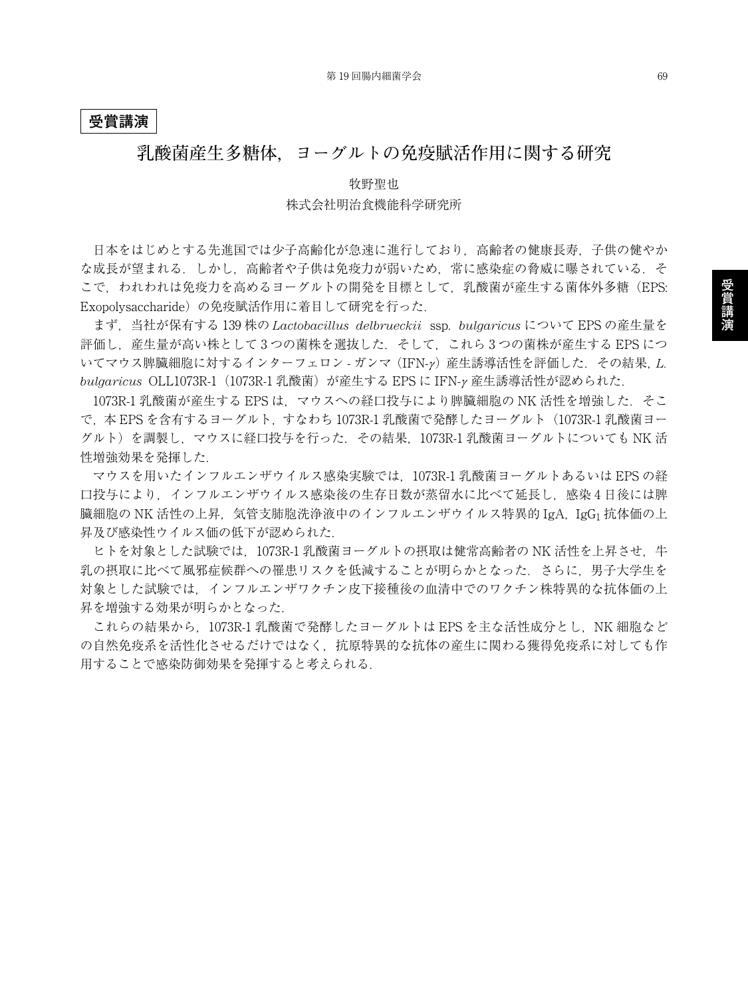#### **受賞講演**

### **乳酸菌産生多糖体,ヨーグルトの免疫賦活作用に関する研究**

## 牧野聖也 株式会社明治食機能科学研究所

日本をはじめとする先進国では少子高齢化が急速に進行しており,高齢者の健康長寿,子供の健やか な成長が望まれる.しかし、高齢者や子供は免疫力が弱いため、常に感染症の脅威に曝されている.そ こで、われわれは免疫力を高めるヨーグルトの開発を目標として、乳酸菌が産生する菌体外多糖(EPS: Exopolysaccharide)の免疫賦活作用に着目して研究を行った.

まず,当社が保有する 139 株の *Lactobacillus delbrueckii* ssp. *bulgaricus* について EPS の産生量を 評価し, 産生量が高い株として3つの菌株を選抜した. そして, これら3つの菌株が産生する EPS につ いてマウス脾臓細胞に対するインターフェロン - ガンマ (IFN-y) 産生誘導活性を評価した. その結果, L. *bulgaricus* OLL1073R-1(1073R-1 乳酸菌)が産生する EPS に IFN-<sup>γ</sup> 産生誘導活性が認められた.

1073R-1 乳酸菌が産生する EPS は、マウスへの経口投与により脾臓細胞の NK 活性を増強した. そこ で,本 EPS を含有するヨーグルト,すなわち 1073R-1 乳酸菌で発酵したヨーグルト(1073R-1 乳酸菌ヨー グルト)を調製し,マウスに経口投与を行った.その結果,1073R-1 乳酸菌ヨーグルトについても NK 活 性増強効果を発揮した.

マウスを用いたインフルエンザウイルス感染実験では,1073R-1 乳酸菌ヨーグルトあるいは EPS の経 口投与により,インフルエンザウイルス感染後の生存日数が蒸留水に比べて延長し,感染 4 日後には脾 臓細胞の NK 活性の上昇, 気管支肺胞洗浄液中のインフルエンザウイルス特異的 IgA, IgG1 抗体価の上 昇及び感染性ウイルス価の低下が認められた.

ヒトを対象とした試験では、1073R-1 乳酸菌ヨーグルトの摂取は健常高齢者の NK 活性を上昇させ、牛 乳の摂取に比べて風邪症候群への罹患リスクを低減することが明らかとなった.さらに,男子大学生を 対象とした試験では,インフルエンザワクチン皮下接種後の血清中でのワクチン株特異的な抗体価の上 昇を増強する効果が明らかとなった.

これらの結果から, 1073R-1 乳酸菌で発酵したヨーグルトは EPS を主な活性成分とし, NK 細胞など の自然免疫系を活性化させるだけではなく,抗原特異的な抗体の産生に関わる獲得免疫系に対しても作 用することで感染防御効果を発揮すると考えられる.